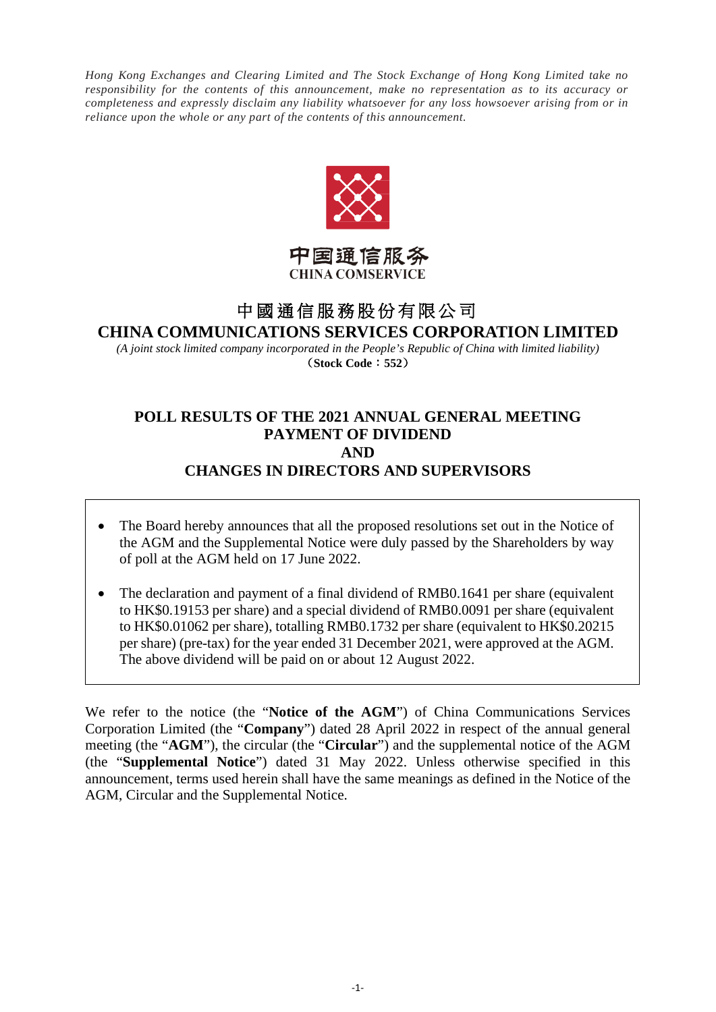*Hong Kong Exchanges and Clearing Limited and The Stock Exchange of Hong Kong Limited take no responsibility for the contents of this announcement, make no representation as to its accuracy or completeness and expressly disclaim any liability whatsoever for any loss howsoever arising from or in reliance upon the whole or any part of the contents of this announcement.* 



## 中国通信服务 **CHINA COMSERVICE**

# 中國通信服務股份有限公司 **CHINA COMMUNICATIONS SERVICES CORPORATION LIMITED**

*(A joint stock limited company incorporated in the People's Republic of China with limited liability)* (**Stock Code**:**552**)

## **POLL RESULTS OF THE 2021 ANNUAL GENERAL MEETING PAYMENT OF DIVIDEND AND CHANGES IN DIRECTORS AND SUPERVISORS**

- The Board hereby announces that all the proposed resolutions set out in the Notice of the AGM and the Supplemental Notice were duly passed by the Shareholders by way of poll at the AGM held on 17 June 2022.
- The declaration and payment of a final dividend of RMB0.1641 per share (equivalent to HK\$0.19153 per share) and a special dividend of RMB0.0091 per share (equivalent to HK\$0.01062 per share), totalling RMB0.1732 per share (equivalent to HK\$0.20215 per share) (pre-tax) for the year ended 31 December 2021, were approved at the AGM. The above dividend will be paid on or about 12 August 2022.

We refer to the notice (the "**Notice of the AGM**") of China Communications Services Corporation Limited (the "**Company**") dated 28 April 2022 in respect of the annual general meeting (the "**AGM**"), the circular (the "**Circular**") and the supplemental notice of the AGM (the "**Supplemental Notice**") dated 31 May 2022. Unless otherwise specified in this announcement, terms used herein shall have the same meanings as defined in the Notice of the AGM, Circular and the Supplemental Notice.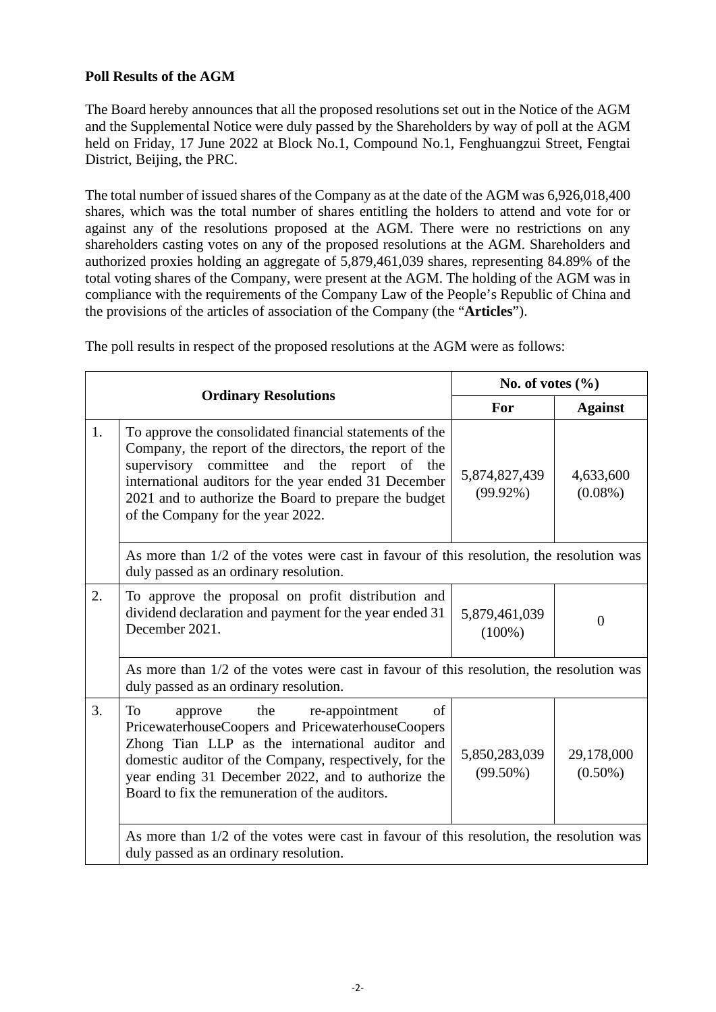## **Poll Results of the AGM**

The Board hereby announces that all the proposed resolutions set out in the Notice of the AGM and the Supplemental Notice were duly passed by the Shareholders by way of poll at the AGM held on Friday, 17 June 2022 at Block No.1, Compound No.1, Fenghuangzui Street, Fengtai District, Beijing, the PRC.

The total number of issued shares of the Company as at the date of the AGM was 6,926,018,400 shares, which was the total number of shares entitling the holders to attend and vote for or against any of the resolutions proposed at the AGM. There were no restrictions on any shareholders casting votes on any of the proposed resolutions at the AGM. Shareholders and authorized proxies holding an aggregate of 5,879,461,039 shares, representing 84.89% of the total voting shares of the Company, were present at the AGM. The holding of the AGM was in compliance with the requirements of the Company Law of the People's Republic of China and the provisions of the articles of association of the Company (the "**Articles**").

|                             |                                                                                                                                                                                                                                                                                                                               | No. of votes $(\% )$         |                          |  |  |  |
|-----------------------------|-------------------------------------------------------------------------------------------------------------------------------------------------------------------------------------------------------------------------------------------------------------------------------------------------------------------------------|------------------------------|--------------------------|--|--|--|
| <b>Ordinary Resolutions</b> |                                                                                                                                                                                                                                                                                                                               | For                          | <b>Against</b>           |  |  |  |
| 1.                          | To approve the consolidated financial statements of the<br>Company, the report of the directors, the report of the<br>supervisory committee and the report of the<br>international auditors for the year ended 31 December<br>2021 and to authorize the Board to prepare the budget<br>of the Company for the year 2022.      | 5,874,827,439<br>$(99.92\%)$ | 4,633,600<br>$(0.08\%)$  |  |  |  |
|                             | As more than 1/2 of the votes were cast in favour of this resolution, the resolution was<br>duly passed as an ordinary resolution.                                                                                                                                                                                            |                              |                          |  |  |  |
| $\overline{2}$ .            | To approve the proposal on profit distribution and<br>dividend declaration and payment for the year ended 31<br>December 2021.                                                                                                                                                                                                | 5,879,461,039<br>$(100\%)$   | $\Omega$                 |  |  |  |
|                             | As more than 1/2 of the votes were cast in favour of this resolution, the resolution was<br>duly passed as an ordinary resolution.                                                                                                                                                                                            |                              |                          |  |  |  |
| 3.                          | <b>To</b><br>of<br>the<br>re-appointment<br>approve<br>PricewaterhouseCoopers and PricewaterhouseCoopers<br>Zhong Tian LLP as the international auditor and<br>domestic auditor of the Company, respectively, for the<br>year ending 31 December 2022, and to authorize the<br>Board to fix the remuneration of the auditors. | 5,850,283,039<br>$(99.50\%)$ | 29,178,000<br>$(0.50\%)$ |  |  |  |
|                             | As more than 1/2 of the votes were cast in favour of this resolution, the resolution was<br>duly passed as an ordinary resolution.                                                                                                                                                                                            |                              |                          |  |  |  |

The poll results in respect of the proposed resolutions at the AGM were as follows: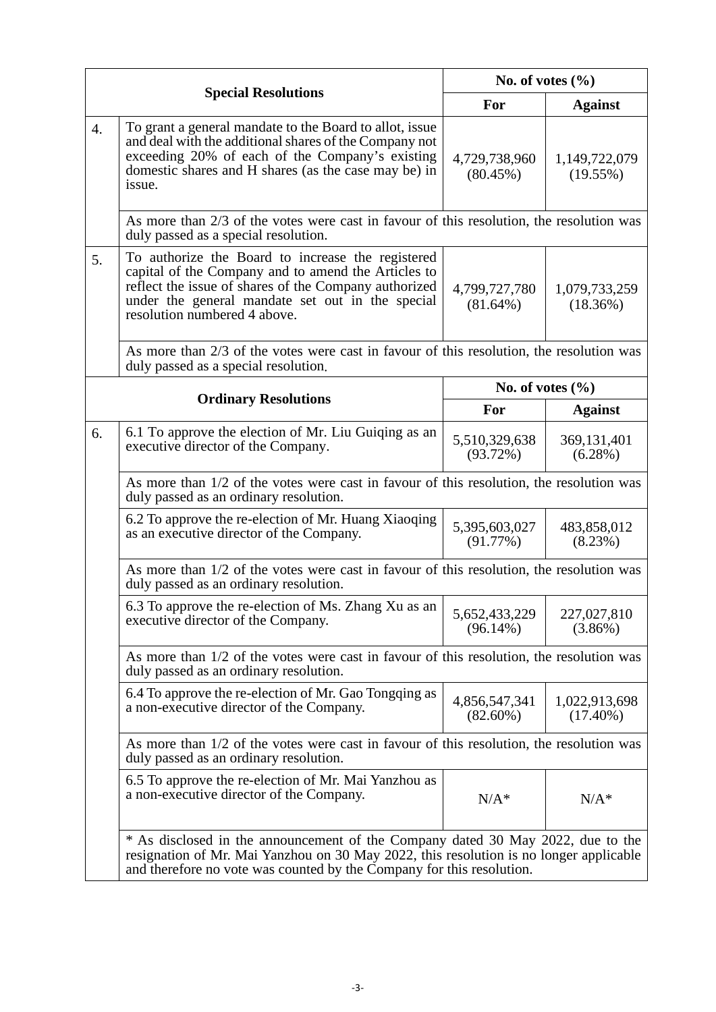| <b>Special Resolutions</b> |                                                                                                                                                                                                                                                       | No. of votes $(\% )$         |                              |  |  |
|----------------------------|-------------------------------------------------------------------------------------------------------------------------------------------------------------------------------------------------------------------------------------------------------|------------------------------|------------------------------|--|--|
|                            |                                                                                                                                                                                                                                                       | For                          | <b>Against</b>               |  |  |
| $\overline{4}$ .           | To grant a general mandate to the Board to allot, issue<br>and deal with the additional shares of the Company not<br>exceeding 20% of each of the Company's existing<br>domestic shares and H shares (as the case may be) in<br>issue.                | 4,729,738,960<br>$(80.45\%)$ | 1,149,722,079<br>(19.55%)    |  |  |
|                            | As more than 2/3 of the votes were cast in favour of this resolution, the resolution was<br>duly passed as a special resolution.                                                                                                                      |                              |                              |  |  |
| 5.                         | To authorize the Board to increase the registered<br>capital of the Company and to amend the Articles to<br>reflect the issue of shares of the Company authorized<br>under the general mandate set out in the special<br>resolution numbered 4 above. | 4,799,727,780<br>$(81.64\%)$ | 1,079,733,259<br>(18.36%)    |  |  |
|                            | As more than 2/3 of the votes were cast in favour of this resolution, the resolution was<br>duly passed as a special resolution.                                                                                                                      |                              |                              |  |  |
|                            | <b>Ordinary Resolutions</b>                                                                                                                                                                                                                           | No. of votes $(\% )$         |                              |  |  |
|                            |                                                                                                                                                                                                                                                       | For                          | <b>Against</b>               |  |  |
| 6.                         | 6.1 To approve the election of Mr. Liu Guiging as an<br>executive director of the Company.                                                                                                                                                            | 5,510,329,638<br>(93.72%)    | 369,131,401<br>$(6.28\%)$    |  |  |
|                            | As more than 1/2 of the votes were cast in favour of this resolution, the resolution was<br>duly passed as an ordinary resolution.                                                                                                                    |                              |                              |  |  |
|                            | 6.2 To approve the re-election of Mr. Huang Xiaoqing<br>as an executive director of the Company.                                                                                                                                                      | 5,395,603,027<br>(91.77%)    | 483,858,012<br>$(8.23\%)$    |  |  |
|                            | As more than $1/2$ of the votes were cast in favour of this resolution, the resolution was<br>duly passed as an ordinary resolution.                                                                                                                  |                              |                              |  |  |
|                            | 6.3 To approve the re-election of Ms. Zhang Xu as an<br>executive director of the Company.                                                                                                                                                            | 5,652,433,229<br>$(96.14\%)$ | 227,027,810<br>$(3.86\%)$    |  |  |
|                            | As more than 1/2 of the votes were cast in favour of this resolution, the resolution was<br>duly passed as an ordinary resolution.                                                                                                                    |                              |                              |  |  |
|                            | 6.4 To approve the re-election of Mr. Gao Tongqing as<br>a non-executive director of the Company.                                                                                                                                                     | 4,856,547,341<br>$(82.60\%)$ | 1,022,913,698<br>$(17.40\%)$ |  |  |
|                            | As more than $1/2$ of the votes were cast in favour of this resolution, the resolution was<br>duly passed as an ordinary resolution.                                                                                                                  |                              |                              |  |  |
|                            | 6.5 To approve the re-election of Mr. Mai Yanzhou as<br>a non-executive director of the Company.                                                                                                                                                      | $N/A^*$                      | $N/A^*$                      |  |  |
|                            | * As disclosed in the announcement of the Company dated 30 May 2022, due to the<br>resignation of Mr. Mai Yanzhou on 30 May 2022, this resolution is no longer applicable<br>and therefore no vote was counted by the Company for this resolution.    |                              |                              |  |  |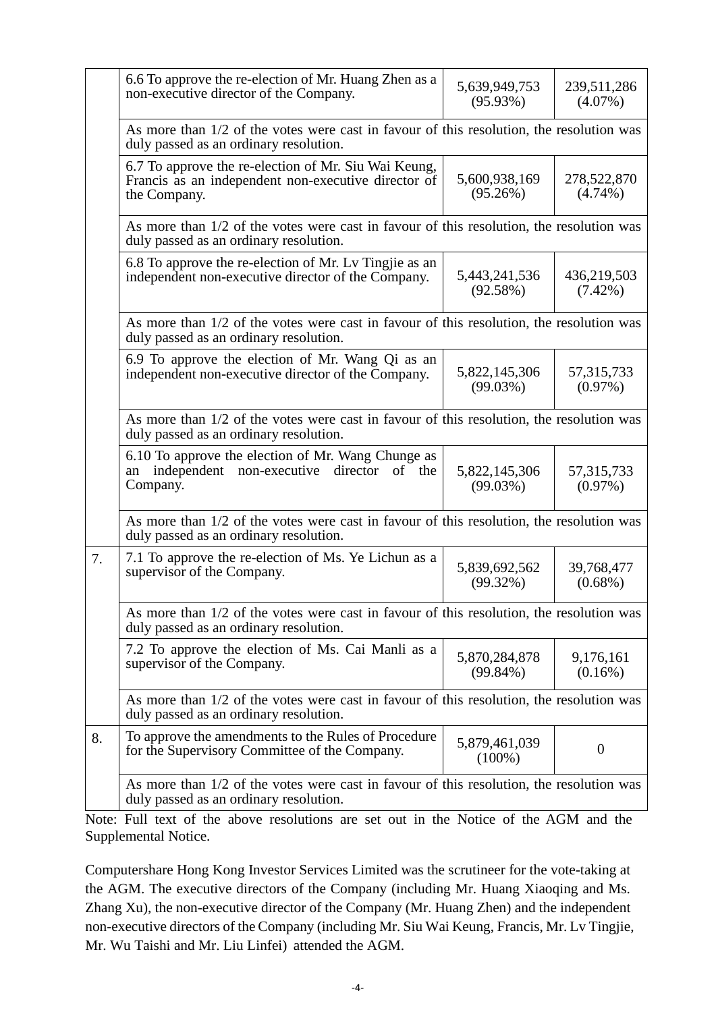|    | 6.6 To approve the re-election of Mr. Huang Zhen as a<br>non-executive director of the Company.                                      | 5,639,949,753<br>$(95.93\%)$ | 239,511,286<br>$(4.07\%)$  |  |  |
|----|--------------------------------------------------------------------------------------------------------------------------------------|------------------------------|----------------------------|--|--|
|    | As more than $1/2$ of the votes were cast in favour of this resolution, the resolution was<br>duly passed as an ordinary resolution. |                              |                            |  |  |
|    | 6.7 To approve the re-election of Mr. Siu Wai Keung,<br>Francis as an independent non-executive director of<br>the Company.          | 5,600,938,169<br>(95.26%)    | 278,522,870<br>$(4.74\%)$  |  |  |
|    | As more than 1/2 of the votes were cast in favour of this resolution, the resolution was<br>duly passed as an ordinary resolution.   |                              |                            |  |  |
|    | 6.8 To approve the re-election of Mr. Ly Tingjie as an<br>independent non-executive director of the Company.                         | 5,443,241,536<br>(92.58%)    | 436,219,503<br>$(7.42\%)$  |  |  |
|    | As more than 1/2 of the votes were cast in favour of this resolution, the resolution was<br>duly passed as an ordinary resolution.   |                              |                            |  |  |
|    | 6.9 To approve the election of Mr. Wang Qi as an<br>independent non-executive director of the Company.                               | 5,822,145,306<br>(99.03%)    | 57, 315, 733<br>$(0.97\%)$ |  |  |
|    | As more than 1/2 of the votes were cast in favour of this resolution, the resolution was<br>duly passed as an ordinary resolution.   |                              |                            |  |  |
|    | 6.10 To approve the election of Mr. Wang Chunge as<br>independent non-executive director<br>of the<br>an<br>Company.                 | 5,822,145,306<br>(99.03%)    | 57, 315, 733<br>$(0.97\%)$ |  |  |
|    | As more than 1/2 of the votes were cast in favour of this resolution, the resolution was<br>duly passed as an ordinary resolution.   |                              |                            |  |  |
| 7. | 7.1 To approve the re-election of Ms. Ye Lichun as a<br>supervisor of the Company.                                                   | 5,839,692,562<br>$(99.32\%)$ | 39,768,477<br>$(0.68\%)$   |  |  |
|    | As more than 1/2 of the votes were cast in favour of this resolution, the resolution was<br>duly passed as an ordinary resolution.   |                              |                            |  |  |
|    | 7.2 To approve the election of Ms. Cai Manli as a<br>supervisor of the Company.                                                      | 5,870,284,878<br>$(99.84\%)$ | 9,176,161<br>$(0.16\%)$    |  |  |
|    | As more than $1/2$ of the votes were cast in favour of this resolution, the resolution was<br>duly passed as an ordinary resolution. |                              |                            |  |  |
| 8. | To approve the amendments to the Rules of Procedure<br>for the Supervisory Committee of the Company.                                 | 5,879,461,039<br>$(100\%)$   | $\boldsymbol{0}$           |  |  |
|    | As more than $1/2$ of the votes were cast in favour of this resolution, the resolution was<br>duly passed as an ordinary resolution. |                              |                            |  |  |

Note: Full text of the above resolutions are set out in the Notice of the AGM and the Supplemental Notice.

Computershare Hong Kong Investor Services Limited was the scrutineer for the vote-taking at the AGM. The executive directors of the Company (including Mr. Huang Xiaoqing and Ms. Zhang Xu), the non-executive director of the Company (Mr. Huang Zhen) and the independent non-executive directors of the Company (including Mr. Siu Wai Keung, Francis, Mr. Lv Tingjie, Mr. Wu Taishi and Mr. Liu Linfei) attended the AGM.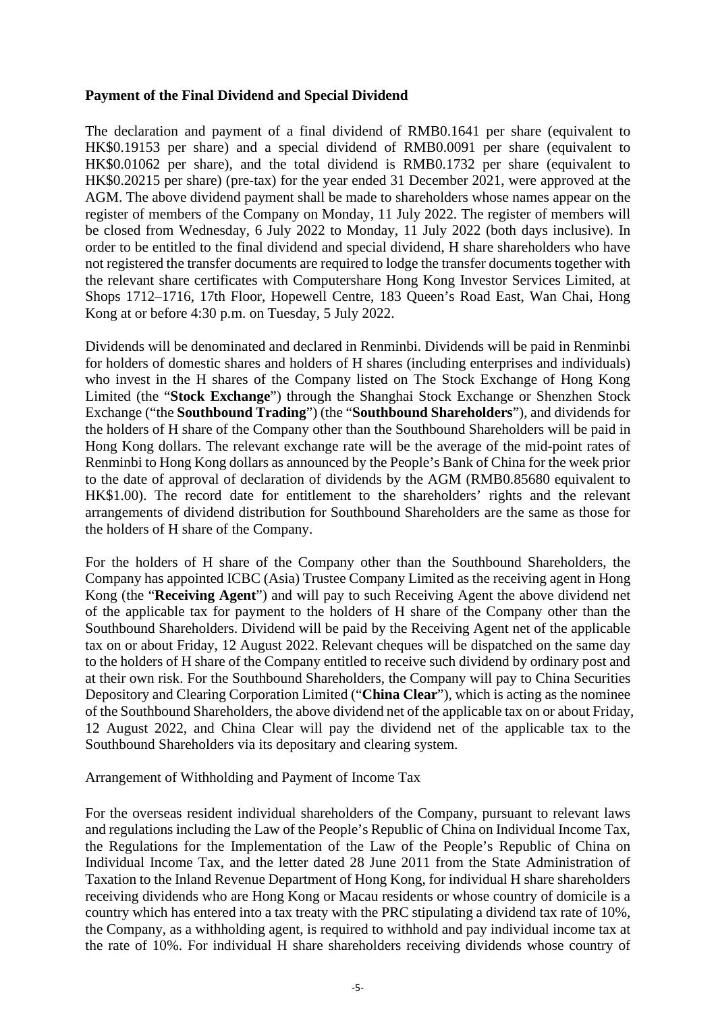#### **Payment of the Final Dividend and Special Dividend**

The declaration and payment of a final dividend of RMB0.1641 per share (equivalent to HK\$0.19153 per share) and a special dividend of RMB0.0091 per share (equivalent to HK\$0.01062 per share), and the total dividend is RMB0.1732 per share (equivalent to HK\$0.20215 per share) (pre-tax) for the year ended 31 December 2021, were approved at the AGM. The above dividend payment shall be made to shareholders whose names appear on the register of members of the Company on Monday, 11 July 2022. The register of members will be closed from Wednesday, 6 July 2022 to Monday, 11 July 2022 (both days inclusive). In order to be entitled to the final dividend and special dividend, H share shareholders who have not registered the transfer documents are required to lodge the transfer documents together with the relevant share certificates with Computershare Hong Kong Investor Services Limited, at Shops 1712–1716, 17th Floor, Hopewell Centre, 183 Queen's Road East, Wan Chai, Hong Kong at or before 4:30 p.m. on Tuesday, 5 July 2022.

Dividends will be denominated and declared in Renminbi. Dividends will be paid in Renminbi for holders of domestic shares and holders of H shares (including enterprises and individuals) who invest in the H shares of the Company listed on The Stock Exchange of Hong Kong Limited (the "**Stock Exchange**") through the Shanghai Stock Exchange or Shenzhen Stock Exchange ("the **Southbound Trading**") (the "**Southbound Shareholders**"), and dividends for the holders of H share of the Company other than the Southbound Shareholders will be paid in Hong Kong dollars. The relevant exchange rate will be the average of the mid-point rates of Renminbi to Hong Kong dollars as announced by the People's Bank of China for the week prior to the date of approval of declaration of dividends by the AGM (RMB0.85680 equivalent to HK\$1.00). The record date for entitlement to the shareholders' rights and the relevant arrangements of dividend distribution for Southbound Shareholders are the same as those for the holders of H share of the Company.

For the holders of H share of the Company other than the Southbound Shareholders, the Company has appointed ICBC (Asia) Trustee Company Limited as the receiving agent in Hong Kong (the "**Receiving Agent**") and will pay to such Receiving Agent the above dividend net of the applicable tax for payment to the holders of H share of the Company other than the Southbound Shareholders. Dividend will be paid by the Receiving Agent net of the applicable tax on or about Friday, 12 August 2022. Relevant cheques will be dispatched on the same day to the holders of H share of the Company entitled to receive such dividend by ordinary post and at their own risk. For the Southbound Shareholders, the Company will pay to China Securities Depository and Clearing Corporation Limited ("**China Clear**"), which is acting as the nominee of the Southbound Shareholders, the above dividend net of the applicable tax on or about Friday, 12 August 2022, and China Clear will pay the dividend net of the applicable tax to the Southbound Shareholders via its depositary and clearing system.

Arrangement of Withholding and Payment of Income Tax

For the overseas resident individual shareholders of the Company, pursuant to relevant laws and regulations including the Law of the People's Republic of China on Individual Income Tax, the Regulations for the Implementation of the Law of the People's Republic of China on Individual Income Tax, and the letter dated 28 June 2011 from the State Administration of Taxation to the Inland Revenue Department of Hong Kong, for individual H share shareholders receiving dividends who are Hong Kong or Macau residents or whose country of domicile is a country which has entered into a tax treaty with the PRC stipulating a dividend tax rate of 10%, the Company, as a withholding agent, is required to withhold and pay individual income tax at the rate of 10%. For individual H share shareholders receiving dividends whose country of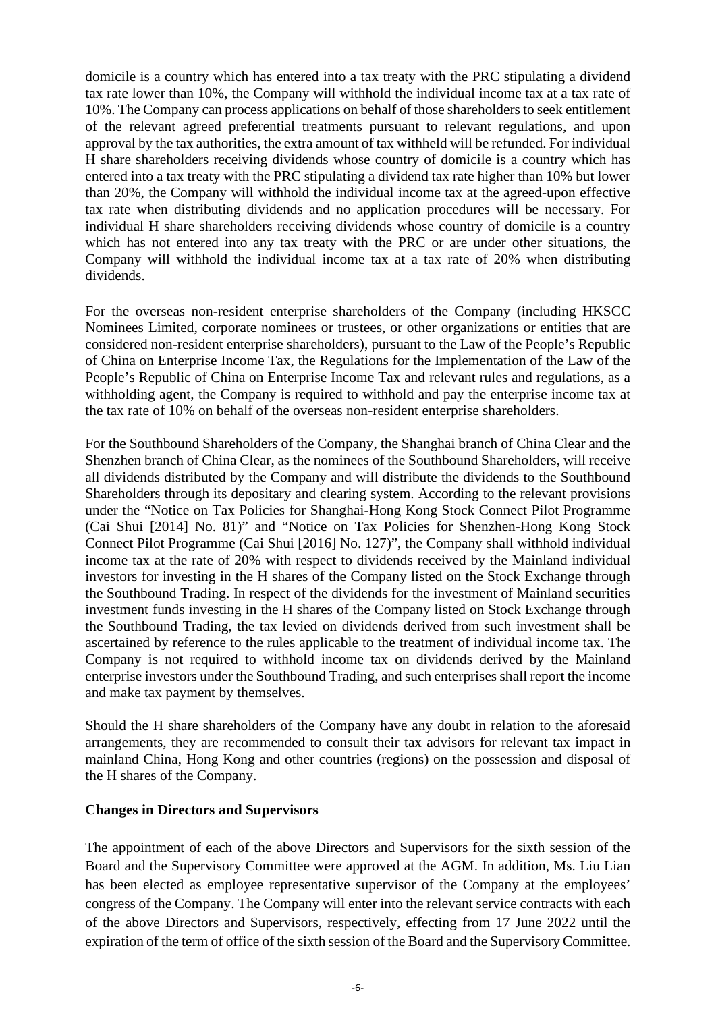domicile is a country which has entered into a tax treaty with the PRC stipulating a dividend tax rate lower than 10%, the Company will withhold the individual income tax at a tax rate of 10%. The Company can process applications on behalf of those shareholders to seek entitlement of the relevant agreed preferential treatments pursuant to relevant regulations, and upon approval by the tax authorities, the extra amount of tax withheld will be refunded. For individual H share shareholders receiving dividends whose country of domicile is a country which has entered into a tax treaty with the PRC stipulating a dividend tax rate higher than 10% but lower than 20%, the Company will withhold the individual income tax at the agreed-upon effective tax rate when distributing dividends and no application procedures will be necessary. For individual H share shareholders receiving dividends whose country of domicile is a country which has not entered into any tax treaty with the PRC or are under other situations, the Company will withhold the individual income tax at a tax rate of 20% when distributing dividends.

For the overseas non-resident enterprise shareholders of the Company (including HKSCC Nominees Limited, corporate nominees or trustees, or other organizations or entities that are considered non-resident enterprise shareholders), pursuant to the Law of the People's Republic of China on Enterprise Income Tax, the Regulations for the Implementation of the Law of the People's Republic of China on Enterprise Income Tax and relevant rules and regulations, as a withholding agent, the Company is required to withhold and pay the enterprise income tax at the tax rate of 10% on behalf of the overseas non-resident enterprise shareholders.

For the Southbound Shareholders of the Company, the Shanghai branch of China Clear and the Shenzhen branch of China Clear, as the nominees of the Southbound Shareholders, will receive all dividends distributed by the Company and will distribute the dividends to the Southbound Shareholders through its depositary and clearing system. According to the relevant provisions under the "Notice on Tax Policies for Shanghai-Hong Kong Stock Connect Pilot Programme (Cai Shui [2014] No. 81)" and "Notice on Tax Policies for Shenzhen-Hong Kong Stock Connect Pilot Programme (Cai Shui [2016] No. 127)", the Company shall withhold individual income tax at the rate of 20% with respect to dividends received by the Mainland individual investors for investing in the H shares of the Company listed on the Stock Exchange through the Southbound Trading. In respect of the dividends for the investment of Mainland securities investment funds investing in the H shares of the Company listed on Stock Exchange through the Southbound Trading, the tax levied on dividends derived from such investment shall be ascertained by reference to the rules applicable to the treatment of individual income tax. The Company is not required to withhold income tax on dividends derived by the Mainland enterprise investors under the Southbound Trading, and such enterprises shall report the income and make tax payment by themselves.

Should the H share shareholders of the Company have any doubt in relation to the aforesaid arrangements, they are recommended to consult their tax advisors for relevant tax impact in mainland China, Hong Kong and other countries (regions) on the possession and disposal of the H shares of the Company.

#### **Changes in Directors and Supervisors**

The appointment of each of the above Directors and Supervisors for the sixth session of the Board and the Supervisory Committee were approved at the AGM. In addition, Ms. Liu Lian has been elected as employee representative supervisor of the Company at the employees' congress of the Company. The Company will enter into the relevant service contracts with each of the above Directors and Supervisors, respectively, effecting from 17 June 2022 until the expiration of the term of office of the sixth session of the Board and the Supervisory Committee.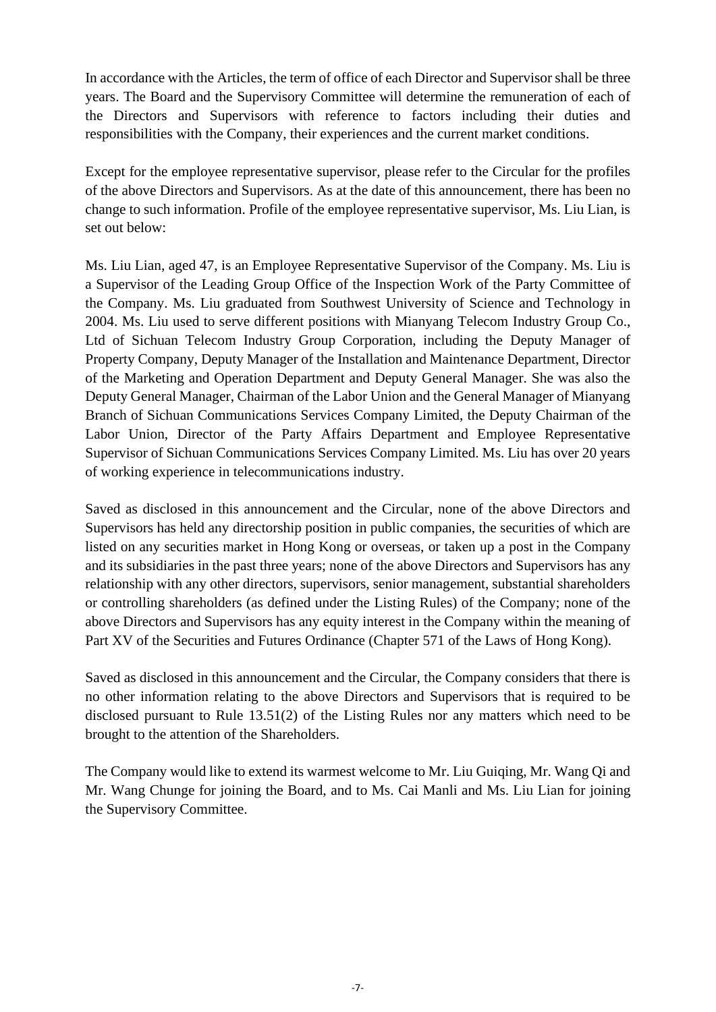In accordance with the Articles, the term of office of each Director and Supervisor shall be three years. The Board and the Supervisory Committee will determine the remuneration of each of the Directors and Supervisors with reference to factors including their duties and responsibilities with the Company, their experiences and the current market conditions.

Except for the employee representative supervisor, please refer to the Circular for the profiles of the above Directors and Supervisors. As at the date of this announcement, there has been no change to such information. Profile of the employee representative supervisor, Ms. Liu Lian, is set out below:

Ms. Liu Lian, aged 47, is an Employee Representative Supervisor of the Company. Ms. Liu is a Supervisor of the Leading Group Office of the Inspection Work of the Party Committee of the Company. Ms. Liu graduated from Southwest University of Science and Technology in 2004. Ms. Liu used to serve different positions with Mianyang Telecom Industry Group Co., Ltd of Sichuan Telecom Industry Group Corporation, including the Deputy Manager of Property Company, Deputy Manager of the Installation and Maintenance Department, Director of the Marketing and Operation Department and Deputy General Manager. She was also the Deputy General Manager, Chairman of the Labor Union and the General Manager of Mianyang Branch of Sichuan Communications Services Company Limited, the Deputy Chairman of the Labor Union, Director of the Party Affairs Department and Employee Representative Supervisor of Sichuan Communications Services Company Limited. Ms. Liu has over 20 years of working experience in telecommunications industry.

Saved as disclosed in this announcement and the Circular, none of the above Directors and Supervisors has held any directorship position in public companies, the securities of which are listed on any securities market in Hong Kong or overseas, or taken up a post in the Company and its subsidiaries in the past three years; none of the above Directors and Supervisors has any relationship with any other directors, supervisors, senior management, substantial shareholders or controlling shareholders (as defined under the Listing Rules) of the Company; none of the above Directors and Supervisors has any equity interest in the Company within the meaning of Part XV of the Securities and Futures Ordinance (Chapter 571 of the Laws of Hong Kong).

Saved as disclosed in this announcement and the Circular, the Company considers that there is no other information relating to the above Directors and Supervisors that is required to be disclosed pursuant to Rule 13.51(2) of the Listing Rules nor any matters which need to be brought to the attention of the Shareholders.

The Company would like to extend its warmest welcome to Mr. Liu Guiqing, Mr. Wang Qi and Mr. Wang Chunge for joining the Board, and to Ms. Cai Manli and Ms. Liu Lian for joining the Supervisory Committee.